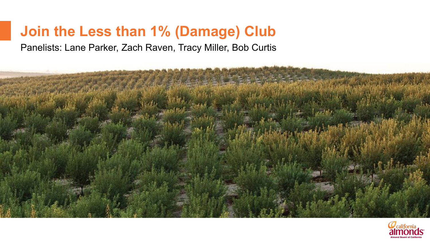# **Join the Less than 1% (Damage) Club**

Panelists: Lane Parker, Zach Raven, Tracy Miller, Bob Curtis



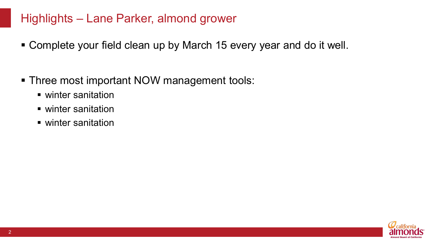## Highlights – Lane Parker, almond grower

- Complete your field clean up by March 15 every year and do it well.
- Three most important NOW management tools:
	- winter sanitation
	- winter sanitation
	- winter sanitation

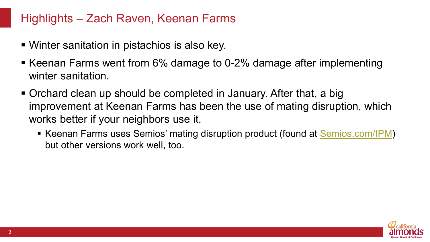#### Highlights – Zach Raven, Keenan Farms

- Winter sanitation in pistachios is also key.
- Keenan Farms went from 6% damage to 0-2% damage after implementing winter sanitation
- Orchard clean up should be completed in January. After that, a big improvement at Keenan Farms has been the use of mating disruption, which works better if your neighbors use it.
	- Keenan Farms uses Semios' mating disruption product (found at [Semios.com/IPM\)](https://semios.com/ipm/) but other versions work well, too.

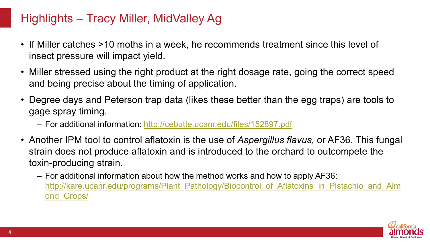## Highlights – Tracy Miller, MidValley Ag

- If Miller catches >10 moths in a week, he recommends treatment since this level of insect pressure will impact yield.
- Miller stressed using the right product at the right dosage rate, going the correct speed and being precise about the timing of application.
- Degree days and Peterson trap data (likes these better than the egg traps) are tools to gage spray timing.
	- For additional information:<http://cebutte.ucanr.edu/files/152897.pdf>
- Another IPM tool to control aflatoxin is the use of *Aspergillus flavus,* or AF36. This fungal strain does not produce aflatoxin and is introduced to the orchard to outcompete the toxin-producing strain.
	- For additional information about how the method works and how to apply AF36: [http://kare.ucanr.edu/programs/Plant\\_Pathology/Biocontrol\\_of\\_Aflatoxins\\_in\\_Pistachio\\_and\\_Alm](http://kare.ucanr.edu/programs/Plant_Pathology/Biocontrol_of_Aflatoxins_in_Pistachio_and_Almond_Crops/) ond\_Crops/